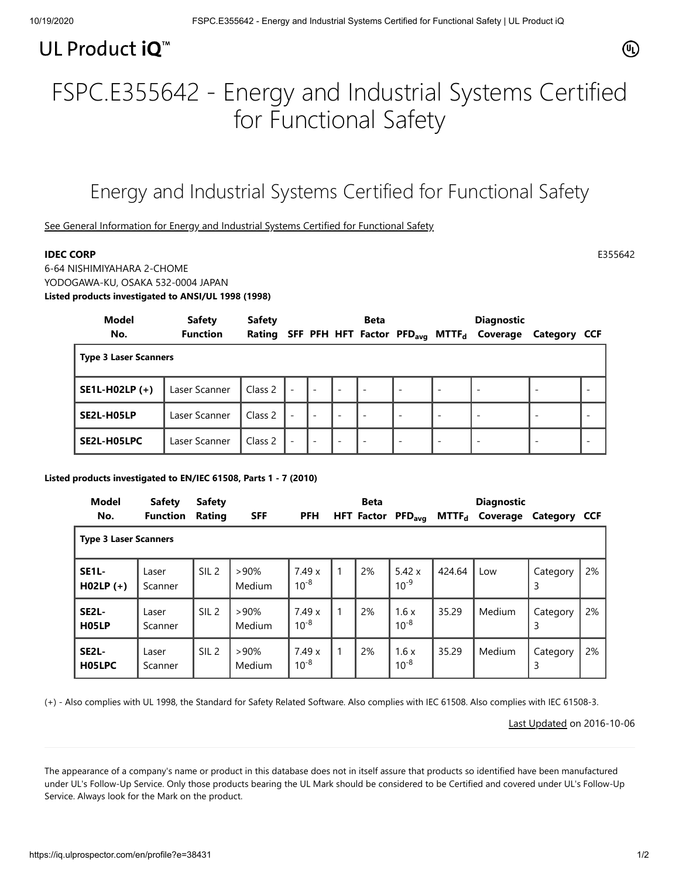## UL Product iQ<sup>™</sup>

# FSPC.E355642 - Energy and Industrial Systems Certified for Functional Safety

## Energy and Industrial Systems Certified for Functional Safety

[See General Information for Energy and Industrial Systems Certified for Functional Safety](https://iq.ulprospector.com/cgi-bin/XYV/template/LISEXT/1FRAME/showpage.html?&name=FSPC.GuideInfo&ccnshorttitle=Energy+and+Industrial+Systems+Certified+for+Functional+Safety&objid=1081477929&cfgid=1073741824&version=versionless&parent_id=1081477928&sequence=1)

### **IDEC CORP** E355642

6-64 NISHIMIYAHARA 2-CHOME YODOGAWA-KU, OSAKA 532-0004 JAPAN **Listed products investigated to ANSI/UL 1998 (1998)**

| Model                        | <b>Safety</b>   | <b>Safety</b> |                          |                          |                          | <b>Beta</b>              |                          |                          | <b>Diagnostic</b>                                                |                          |  |  |
|------------------------------|-----------------|---------------|--------------------------|--------------------------|--------------------------|--------------------------|--------------------------|--------------------------|------------------------------------------------------------------|--------------------------|--|--|
| No.                          | <b>Function</b> | Rating        |                          |                          |                          |                          |                          |                          | SFF PFH HFT Factor PFD <sub>avg</sub> MTTF <sub>d</sub> Coverage | Category CCF             |  |  |
| <b>Type 3 Laser Scanners</b> |                 |               |                          |                          |                          |                          |                          |                          |                                                                  |                          |  |  |
| SE1L-H02LP (+)               | Laser Scanner   | Class 2       | $\blacksquare$           | $\overline{\phantom{a}}$ | $\overline{\phantom{a}}$ | $\overline{\phantom{0}}$ | $\overline{\phantom{a}}$ | $\overline{\phantom{a}}$ | $\overline{\phantom{a}}$                                         | $\overline{\phantom{a}}$ |  |  |
| SE2L-H05LP                   | Laser Scanner   | Class 2       | $\overline{\phantom{a}}$ | $\overline{\phantom{a}}$ | $\overline{\phantom{a}}$ | $\overline{\phantom{a}}$ | $\overline{\phantom{a}}$ | $\overline{\phantom{a}}$ | $\overline{\phantom{a}}$                                         | $\overline{\phantom{a}}$ |  |  |
| SE2L-H05LPC                  | Laser Scanner   | Class 2       | $\overline{\phantom{a}}$ | $\overline{\phantom{a}}$ | $\overline{\phantom{a}}$ | $\overline{\phantom{a}}$ | $\overline{\phantom{a}}$ | $\overline{\phantom{a}}$ | $\overline{\phantom{a}}$                                         | $\overline{\phantom{a}}$ |  |  |

#### **Listed products investigated to EN/IEC 61508, Parts 1 - 7 (2010)**

| <b>Model</b>                             | <b>Safety</b><br><b>Safety</b> |                  |                   |                    | <b>Beta</b> |                   |                    |        |                            | <b>Diagnostic</b>          |    |  |
|------------------------------------------|--------------------------------|------------------|-------------------|--------------------|-------------|-------------------|--------------------|--------|----------------------------|----------------------------|----|--|
| No.                                      | <b>Function</b>                | Rating           | <b>SFF</b>        | <b>PFH</b>         |             | <b>HFT Factor</b> | PFD <sub>avg</sub> |        | MTTF <sub>d</sub> Coverage | Category CCF               |    |  |
| <b>Type 3 Laser Scanners</b>             |                                |                  |                   |                    |             |                   |                    |        |                            |                            |    |  |
| SE <sub>1L</sub> -<br>$H02LP (+)$        | Laser<br>Scanner               | SIL <sub>2</sub> | >90%<br>Medium    | 7.49x<br>$10^{-8}$ |             | 2%                | 5.42x<br>$10^{-9}$ | 424.64 | Low                        | Category<br>3              | 2% |  |
| SE <sub>2</sub> L-<br>H <sub>05</sub> LP | Laser<br>Scanner               | SIL <sub>2</sub> | $>90\%$<br>Medium | 7.49x<br>$10^{-8}$ |             | 2%                | 1.6x<br>$10^{-8}$  | 35.29  | Medium                     | Category<br>$\overline{3}$ | 2% |  |
| SE <sub>2</sub> L-<br>H05LPC             | Laser<br>Scanner               | SIL <sub>2</sub> | $>90\%$<br>Medium | 7.49x<br>$10^{-8}$ |             | 2%                | 1.6x<br>$10^{-8}$  | 35.29  | Medium                     | Category<br>3              | 2% |  |

(+) - Also complies with UL 1998, the Standard for Safety Related Software. Also complies with IEC 61508. Also complies with IEC 61508-3.

[Last Updated](javascript:openit() on 2016-10-06

The appearance of a company's name or product in this database does not in itself assure that products so identified have been manufactured under UL's Follow-Up Service. Only those products bearing the UL Mark should be considered to be Certified and covered under UL's Follow-Up Service. Always look for the Mark on the product.

 $(\mathbb{q})$